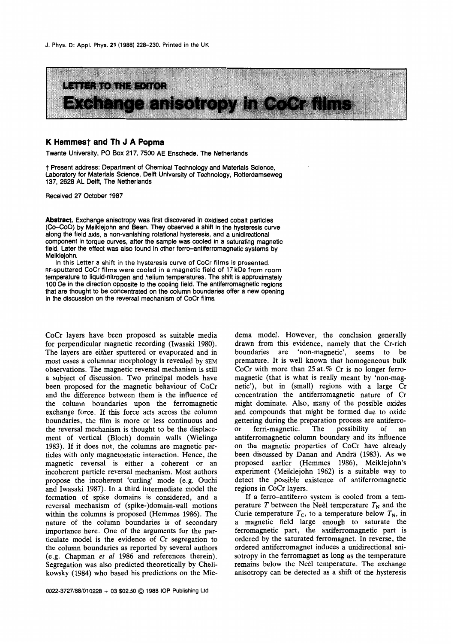

## **K Hemmest and Th J A Popma**

Twente University, PO Box 217, 7500 AE Enschede, The Netherlands

t Present address: Department of Chemical Technology and Materials Science, Laboratory for Materials Science, Delft University of Technology, Rotterdamseweg 137, 2628 AL Delft, The Netherlands

Received 27 October 1987

Abstract. Exchange anisotropy was first discovered in oxidised cobalt particles (Co-CoO) by Meiklejohn and Bean. They observed a shift in the hysteresis curve along the field axis, a non-vanishing rotational hysteresis, and a unidirectional component in torque curves, after the sample was cooled in a saturating magnetic field. Later the effect was also found in other ferro-antiferromagnetic systems by Meiklejohn.

In this Letter a shift in the hysteresis curve of CoCr films **is** presented. RF-sputtered CoCr films were cooled in a magnetic field of **17** kOe from room temperature to liquid-nitrogen and helium temperatures. The shift is approximately 100 Oe in the direction opposite to the cooling field. The antiferromagnetic regions that are thought to be concentrated on the column boundaries offer a new opening in the discussion on the reversal mechanism of CoCr films.

CoCr layers have been proposed as suitable media for perpendicular magnetic recording (Iwasaki **1980).**  The layers are either sputtered or evaporated and in most cases a columnar morphology is revealed by **SEM**  observations. The magnetic reversal mechanism is still a subject of discussion. Two principal models have been proposed for the magnetic behaviour of CoCr and the difference between them is the influence of the column boundaries upon the ferromagnetic exchange force. If this force acts across the column boundaries, the film is more or less continuous and the reversal mechanism is thought to be the displacement of vertical (Bloch) domain walls (Wielinga **1983).** If it does not, the columns are magnetic particles with only magnetostatic interaction. Hence, the magnetic reversal is either a coherent or an incoherent particle reversal mechanism. Most authors propose the incoherent 'curling' mode (e.g. Ouchi and Iwasaki **1987).** In a third intermediate model the formation of spike domains **is** considered, and a reversal mechanism of (spike-)domain-wall motions within the columns is proposed (Hemmes **1986).** The nature of the column boundaries is of secondary importance here. One of the arguments for the particulate model is the evidence of Cr segregation to the column boundaries as reported by several authors (e.g. Chapman *et a1* **1986** and references therein). Segregation was also predicted theoretically by Chelikowsky **(1984)** who based his predictions on the Mie-

dema model. However, the conclusion generally drawn from this evidence, namely that the Cr-rich boundaries are 'non-magnetic', seems to be premature. It is well known that homogeneous bulk CoCr with more than **25** at. % Cr is no longer ferromagnetic (that is what is really meant by 'non-magnetic'), but in (small) regions with a large Cr concentration the antiferromagnetic nature of Cr might dominate. Also, many of the possible oxides and compounds that might be formed due to oxide gettering during the preparation process are antiferroor ferri-magnetic. The possibility of an antiferromagnetic column boundary and its influence on the magnetic properties of CoCr have already been discussed by Danan and Andra **(1983).** As we proposed earlier (Hemmes **1986),** Meiklejohn's experiment (Meiklejohn **1962)** is a suitable way to detect the possible existence of antiferromagnetic regions in CoCr layers.

If a ferro-antiferro system is cooled from a temperature *T* between the Neel temperature  $T_N$  and the Curie temperature  $T_c$ , to a temperature below  $T_N$ , in a magnetic field large enough to saturate he ferromagnetic part, he antiferromagnetic part is ordered by the saturated ferromagnet. In reverse, the ordered antiferromagnet induces a unidirectional anisotropy in the ferromagnet as long as the temperature remains below the Neèl temperature. The exchange anisotropy can be detected as a shift of the hysteresis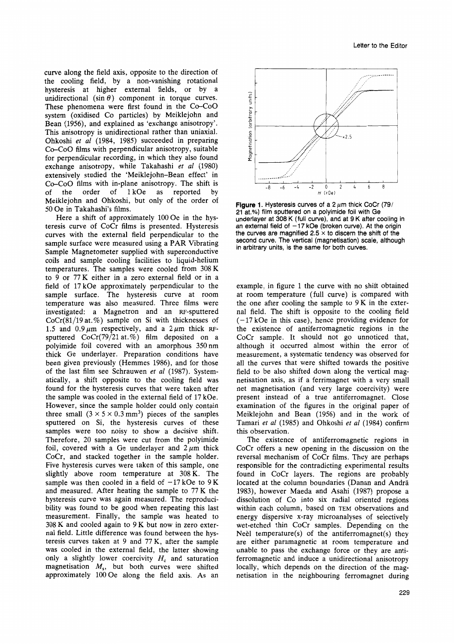curve along the field axis, opposite to the direction of the cooling field, by a non-vanishing rotational hysteresis at higher external fields, or by a unidirectional  $(\sin \theta)$  component in torque curves. These phenomena were first found in the CO-COO system (oxidised Co particles) by Meiklejohn and Bean (1956), and explained as 'exchange anisotropy'. This anisotropy is unidirectional rather than uniaxial. Ohkoshi *er a1* (1984, 1985) succeeded in preparing Co-CoO films with perpendicular anisotropy, suitable for perpendicular recording, in which they also found exchange anisotropy, while Takahashi *er a1* (1980) extensively studied the 'Meiklejohn-Bean effect' in Co-CoO films with in-plane anisotropy. The shift is<br>of the order of  $1 kOe$  as reported by 1 kOe as reported Meiklejohn and Ohkoshi, but only of the order of 50 Oe in Takahashi's films.

Here a shift of approximately 100 Oe in the hysteresis curve of CoCr films is presented. Hysteresis curves with the external field perpendicular to the sample surface were measured using a PAR Vibrating Sample Magnetometer supplied with superconductive coils and sample cooling facilities to liquid-helium temperatures. The samples were cooled from 308 K to 9 or 77 K either in a zero external field or in a field of 17 kOe approximately perpendicular to the sample surface. The hysteresis curve at room temperature was also measured. Three films were investigated: a Magnetron and an RF-sputtered  $CoCr(81/19$  at.%) sample on Si with thicknesses of 1.5 and  $0.9 \mu m$  respectively, and a  $2 \mu m$  thick RFsputtered  $CoCr(79/21 \text{ at.} %)$  film deposited on a polyimide foil covered with an amorphous 350 nm thick Ge underlayer. Preparation conditions have been given previously (Hemmes 1986), and for those of the last film see Schrauwen *et a1* (1987). Systematically, a shift opposite to the cooling field was found for the hysteresis curves that were taken after the sample was cooled in the external field of 17 kOe. However, since the sample holder could only contain three small  $(3 \times 5 \times 0.3 \text{ mm}^3)$  pieces of the samples sputtered on Si, the hysteresis curves of these samples were too noisy to show a decisive shift. Therefore, 20 samples were cut from the polyimide foil, covered with a Ge underlayer and  $2 \mu m$  thick CoCr, and stacked together in the sample holder. Five hysteresis curves were taken of this sample, one slightly above room temperature at 308 K. The sample was then cooled in a field of  $-17$  kOe to  $9$  K and measured. After heating the sample to 77 K the hysteresis curve was again measured. The reproducibility was found to be good when repeating this last measurement. Finally, the sample was heated to 308 K and cooled again to 9 K but now in zero external field. Little difference was found between the hysteresis curves taken at 9 and 77 K, after the sample was cooled in the external field, the latter showing only a slightly lower coercivity *H,* and saturation magnetisation *M,,* but both curves were shifted approximately 100 Oe along the field axis. As an



**Figure 1.** Hysteresis curves of a  $2 \mu m$  thick CoCr (79/ **21** at.%) film sputtered on a polyimide foil with Ge underlayer at 308 K (full curve), and at 9 **K** after cooling in an external field of  $-17$  kOe (broken curve). At the origin the curves are magnified  $2.5 \times$  to discern the shift of the second curve. The vertical (magnetisation) scale, although in arbitrary units, is the same for both curves.

example, in figure 1 the curve with no shift obtained at room temperature (full curve) is compared with the one after cooling the sample to 9 K in the external field. The shift is opposite to the cooling field (-17 kOe in this case), hence providing evidence for the existence of antiferromagnetic regions in the CoCr sample. It should not go unnoticed that, although it occurred almost within the error of measurement, a systematic tendency was observed for all the curves that were shifted towards the positive field to be also shifted down along the vertical magnetisation axis, as if a ferrimagnet with a very small net magnetisation (and very large coercivity) were present instead of a true antiferromagnet. Close examination of the figures in the original paper of Meiklejohn and Bean (1956) and in the work of Tamari *et a1* (1985) and Ohkoshi *er a1* (1984) confirm this observation.

The existence of antiferromagnetic regions in CoCr offers a new opening in the discussion on the reversal mechanism of CoCr films. They are perhaps responsible for the contradicting experimental results found in CoCr layers. The regions are probably located at the column boundaries (Danan and Andra 1983), however Maeda and Asahi (1987) propose a dissolution of CO into six radial oriented regions within each column, based on TEM observations and energy dispersive x-ray microanalyses of selectively wet-etched thin CoCr samples. Depending on the Neèl temperature(s) of the antiferromagnet(s) they are either paramagnetic at room temperature and unable to pass the exchange force or they are antiferromagnetic and induce a unidirectional anisotropy locally, which depends on the direction of the magnetisation in the neighbouring ferromagnet during